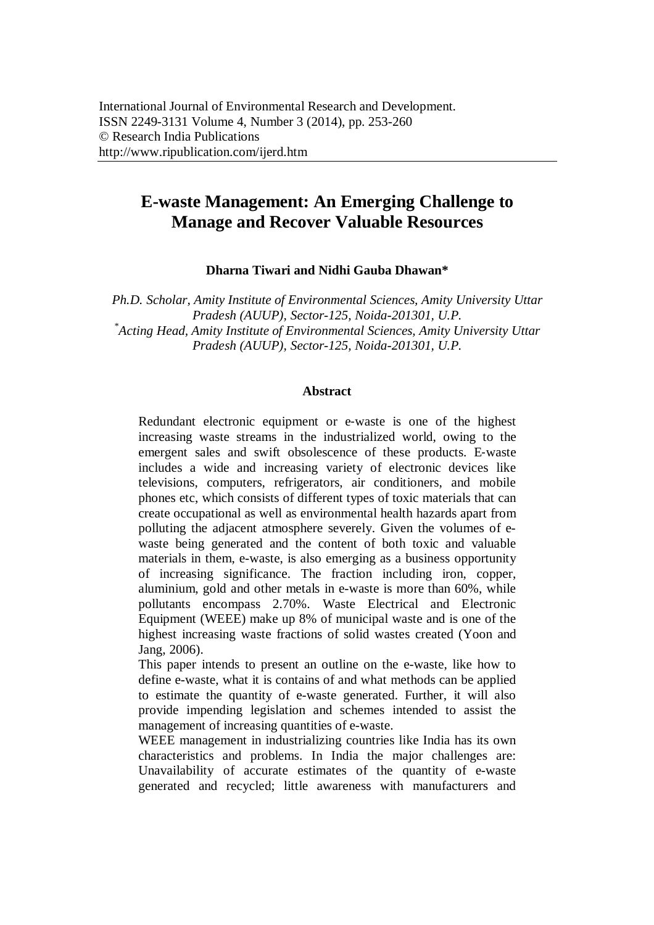# **E-waste Management: An Emerging Challenge to Manage and Recover Valuable Resources**

**Dharna Tiwari and Nidhi Gauba Dhawan\***

*Ph.D. Scholar, Amity Institute of Environmental Sciences, Amity University Uttar Pradesh (AUUP), Sector-125, Noida-201301, U.P. \* Acting Head, Amity Institute of Environmental Sciences, Amity University Uttar Pradesh (AUUP), Sector-125, Noida-201301, U.P.* 

#### **Abstract**

Redundant electronic equipment or e-waste is one of the highest increasing waste streams in the industrialized world, owing to the emergent sales and swift obsolescence of these products. E‐waste includes a wide and increasing variety of electronic devices like televisions, computers, refrigerators, air conditioners, and mobile phones etc, which consists of different types of toxic materials that can create occupational as well as environmental health hazards apart from polluting the adjacent atmosphere severely. Given the volumes of ewaste being generated and the content of both toxic and valuable materials in them, e-waste, is also emerging as a business opportunity of increasing significance. The fraction including iron, copper, aluminium, gold and other metals in e-waste is more than 60%, while pollutants encompass 2.70%. Waste Electrical and Electronic Equipment (WEEE) make up 8% of municipal waste and is one of the highest increasing waste fractions of solid wastes created (Yoon and Jang, 2006).

This paper intends to present an outline on the e-waste, like how to define e-waste, what it is contains of and what methods can be applied to estimate the quantity of e-waste generated. Further, it will also provide impending legislation and schemes intended to assist the management of increasing quantities of e-waste.

WEEE management in industrializing countries like India has its own characteristics and problems. In India the major challenges are: Unavailability of accurate estimates of the quantity of e-waste generated and recycled; little awareness with manufacturers and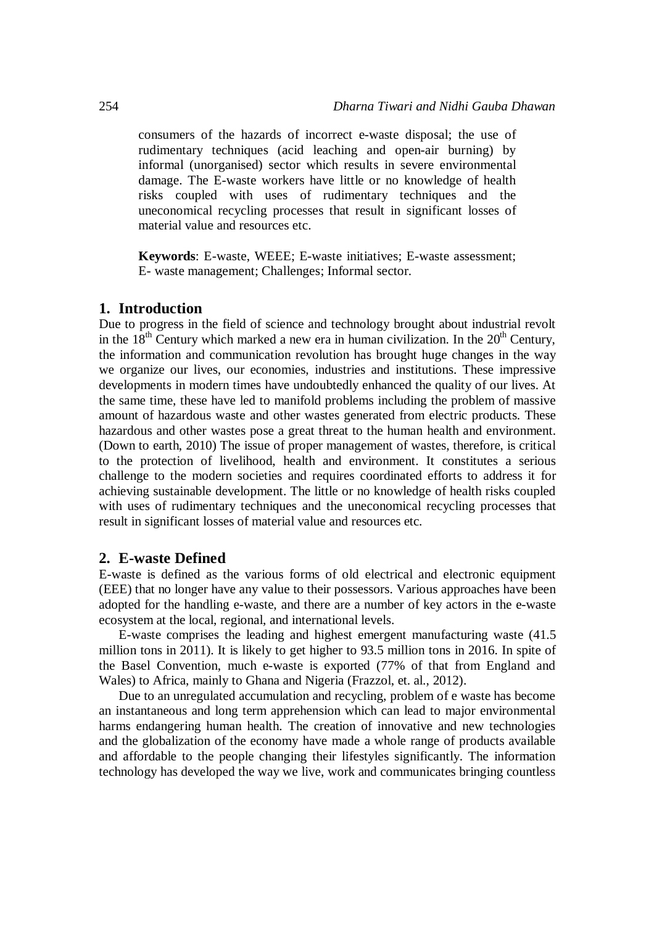consumers of the hazards of incorrect e-waste disposal; the use of rudimentary techniques (acid leaching and open-air burning) by informal (unorganised) sector which results in severe environmental damage. The E-waste workers have little or no knowledge of health risks coupled with uses of rudimentary techniques and the uneconomical recycling processes that result in significant losses of material value and resources etc.

**Keywords**: E-waste, WEEE; E-waste initiatives; E-waste assessment; E- waste management; Challenges; Informal sector.

#### **1. Introduction**

Due to progress in the field of science and technology brought about industrial revolt in the  $18<sup>th</sup>$  Century which marked a new era in human civilization. In the  $20<sup>th</sup>$  Century, the information and communication revolution has brought huge changes in the way we organize our lives, our economies, industries and institutions. These impressive developments in modern times have undoubtedly enhanced the quality of our lives. At the same time, these have led to manifold problems including the problem of massive amount of hazardous waste and other wastes generated from electric products. These hazardous and other wastes pose a great threat to the human health and environment. (Down to earth, 2010) The issue of proper management of wastes, therefore, is critical to the protection of livelihood, health and environment. It constitutes a serious challenge to the modern societies and requires coordinated efforts to address it for achieving sustainable development. The little or no knowledge of health risks coupled with uses of rudimentary techniques and the uneconomical recycling processes that result in significant losses of material value and resources etc.

#### **2. E-waste Defined**

E-waste is defined as the various forms of old electrical and electronic equipment (EEE) that no longer have any value to their possessors. Various approaches have been adopted for the handling e-waste, and there are a number of key actors in the e-waste ecosystem at the local, regional, and international levels.

E-waste comprises the leading and highest emergent manufacturing waste (41.5 million tons in 2011). It is likely to get higher to 93.5 million tons in 2016. In spite of the Basel Convention, much e-waste is exported (77% of that from England and Wales) to Africa, mainly to Ghana and Nigeria (Frazzol, et. al., 2012).

Due to an unregulated accumulation and recycling, problem of e waste has become an instantaneous and long term apprehension which can lead to major environmental harms endangering human health. The creation of innovative and new technologies and the globalization of the economy have made a whole range of products available and affordable to the people changing their lifestyles significantly. The information technology has developed the way we live, work and communicates bringing countless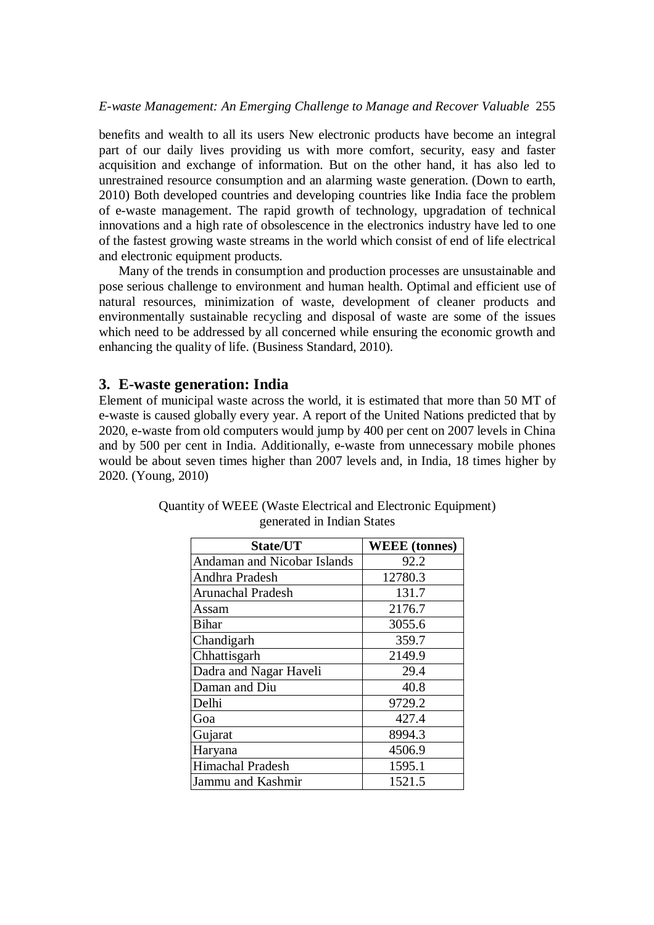#### *E-waste Management: An Emerging Challenge to Manage and Recover Valuable* 255

benefits and wealth to all its users New electronic products have become an integral part of our daily lives providing us with more comfort, security, easy and faster acquisition and exchange of information. But on the other hand, it has also led to unrestrained resource consumption and an alarming waste generation. (Down to earth, 2010) Both developed countries and developing countries like India face the problem of e-waste management. The rapid growth of technology, upgradation of technical innovations and a high rate of obsolescence in the electronics industry have led to one of the fastest growing waste streams in the world which consist of end of life electrical and electronic equipment products.

Many of the trends in consumption and production processes are unsustainable and pose serious challenge to environment and human health. Optimal and efficient use of natural resources, minimization of waste, development of cleaner products and environmentally sustainable recycling and disposal of waste are some of the issues which need to be addressed by all concerned while ensuring the economic growth and enhancing the quality of life. (Business Standard, 2010).

### **3. E-waste generation: India**

Element of municipal waste across the world, it is estimated that more than 50 MT of e-waste is caused globally every year. A report of the United Nations predicted that by 2020, e-waste from old computers would jump by 400 per cent on 2007 levels in China and by 500 per cent in India. Additionally, e-waste from unnecessary mobile phones would be about seven times higher than 2007 levels and, in India, 18 times higher by 2020. (Young, 2010)

| State/UT                           | <b>WEEE</b> (tonnes) |
|------------------------------------|----------------------|
| <b>Andaman and Nicobar Islands</b> | 92.2                 |
| Andhra Pradesh                     | 12780.3              |
| <b>Arunachal Pradesh</b>           | 131.7                |
| Assam                              | 2176.7               |
| <b>Bihar</b>                       | 3055.6               |
| Chandigarh                         | 359.7                |
| Chhattisgarh                       | 2149.9               |
| Dadra and Nagar Haveli             | 29.4                 |
| Daman and Diu                      | 40.8                 |
| Delhi                              | 9729.2               |
| Goa                                | 427.4                |
| Gujarat                            | 8994.3               |
| Haryana                            | 4506.9               |
| Himachal Pradesh                   | 1595.1               |
| Jammu and Kashmir                  | 1521.5               |

| Quantity of WEEE (Waste Electrical and Electronic Equipment) |  |
|--------------------------------------------------------------|--|
| generated in Indian States                                   |  |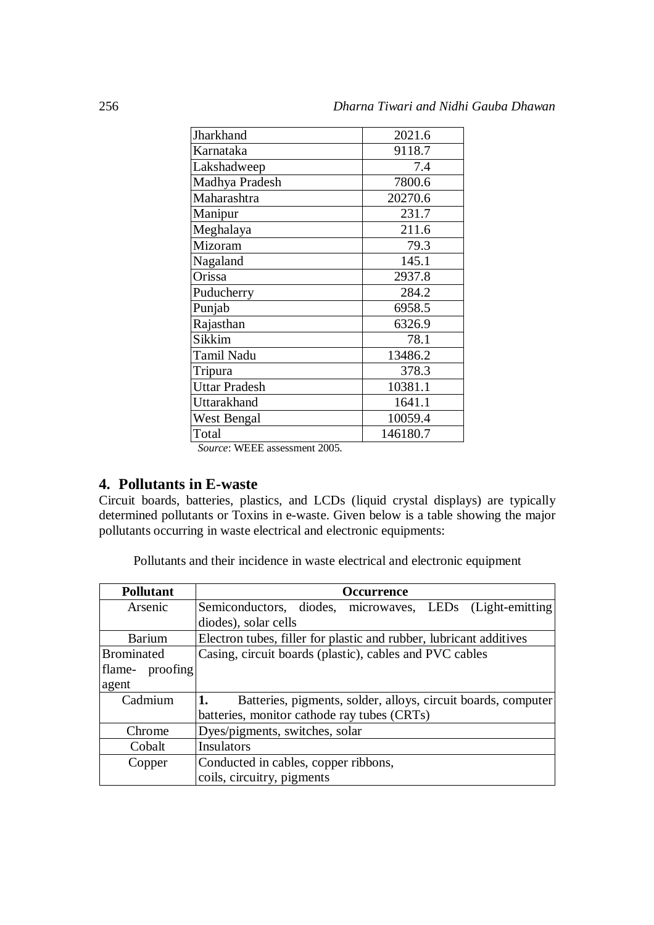| Jharkhand            | 2021.6   |
|----------------------|----------|
| Karnataka            | 9118.7   |
| Lakshadweep          | 7.4      |
| Madhya Pradesh       | 7800.6   |
| Maharashtra          | 20270.6  |
| Manipur              | 231.7    |
| Meghalaya            | 211.6    |
| Mizoram              | 79.3     |
| Nagaland             | 145.1    |
| Orissa               | 2937.8   |
| Puducherry           | 284.2    |
| Punjab               | 6958.5   |
| Rajasthan            | 6326.9   |
| Sikkim               | 78.1     |
| <b>Tamil Nadu</b>    | 13486.2  |
| Tripura              | 378.3    |
| <b>Uttar Pradesh</b> | 10381.1  |
| Uttarakhand          | 1641.1   |
| West Bengal          | 10059.4  |
| Total                | 146180.7 |
|                      |          |

*Source*: WEEE assessment 2005.

# **4. Pollutants in E-waste**

Circuit boards, batteries, plastics, and LCDs (liquid crystal displays) are typically determined pollutants or Toxins in e-waste. Given below is a table showing the major pollutants occurring in waste electrical and electronic equipments:

Pollutants and their incidence in waste electrical and electronic equipment

| <b>Pollutant</b> | <b>Occurrence</b>                                                  |
|------------------|--------------------------------------------------------------------|
| Arsenic          | Semiconductors, diodes, microwaves, LEDs (Light-emitting)          |
|                  | diodes), solar cells                                               |
| Barium           | Electron tubes, filler for plastic and rubber, lubricant additives |
| Brominated       | Casing, circuit boards (plastic), cables and PVC cables            |
| flame-proofing   |                                                                    |
| agent            |                                                                    |
| Cadmium          | Batteries, pigments, solder, alloys, circuit boards, computer      |
|                  | batteries, monitor cathode ray tubes (CRTs)                        |
| Chrome           | Dyes/pigments, switches, solar                                     |
| Cobalt           | Insulators                                                         |
| Copper           | Conducted in cables, copper ribbons,                               |
|                  | coils, circuitry, pigments                                         |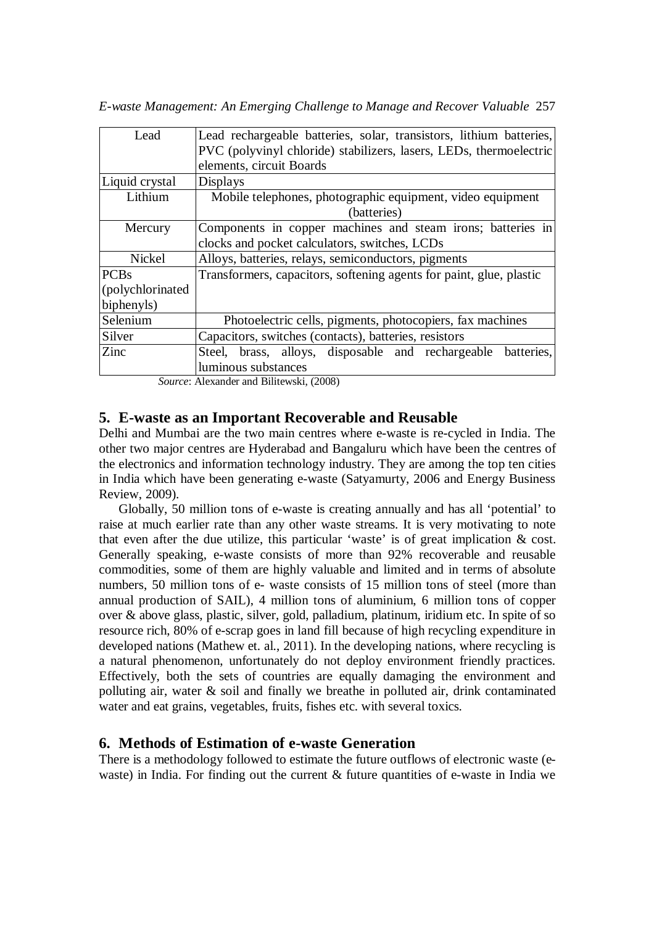*E-waste Management: An Emerging Challenge to Manage and Recover Valuable* 257

| Lead             | Lead rechargeable batteries, solar, transistors, lithium batteries, |
|------------------|---------------------------------------------------------------------|
|                  | PVC (polyvinyl chloride) stabilizers, lasers, LEDs, thermoelectric  |
|                  | elements, circuit Boards                                            |
| Liquid crystal   | Displays                                                            |
| Lithium          | Mobile telephones, photographic equipment, video equipment          |
|                  | (batteries)                                                         |
| Mercury          | Components in copper machines and steam irons; batteries in         |
|                  | clocks and pocket calculators, switches, LCDs                       |
| <b>Nickel</b>    | Alloys, batteries, relays, semiconductors, pigments                 |
| <b>PCBs</b>      | Transformers, capacitors, softening agents for paint, glue, plastic |
| (polychlorinated |                                                                     |
| biphenyls)       |                                                                     |
| Selenium         | Photoelectric cells, pigments, photocopiers, fax machines           |
| Silver           | Capacitors, switches (contacts), batteries, resistors               |
| Zinc             | Steel, brass, alloys, disposable and rechargeable<br>batteries,     |
|                  | luminous substances                                                 |
|                  |                                                                     |

*Source*: Alexander and Bilitewski, (2008)

### **5. E-waste as an Important Recoverable and Reusable**

Delhi and Mumbai are the two main centres where e-waste is re-cycled in India. The other two major centres are Hyderabad and Bangaluru which have been the centres of the electronics and information technology industry. They are among the top ten cities in India which have been generating e-waste (Satyamurty, 2006 and Energy Business Review, 2009).

Globally, 50 million tons of e-waste is creating annually and has all 'potential' to raise at much earlier rate than any other waste streams. It is very motivating to note that even after the due utilize, this particular 'waste' is of great implication & cost. Generally speaking, e-waste consists of more than 92% recoverable and reusable commodities, some of them are highly valuable and limited and in terms of absolute numbers, 50 million tons of e- waste consists of 15 million tons of steel (more than annual production of SAIL), 4 million tons of aluminium, 6 million tons of copper over & above glass, plastic, silver, gold, palladium, platinum, iridium etc. In spite of so resource rich, 80% of e-scrap goes in land fill because of high recycling expenditure in developed nations (Mathew et. al., 2011). In the developing nations, where recycling is a natural phenomenon, unfortunately do not deploy environment friendly practices. Effectively, both the sets of countries are equally damaging the environment and polluting air, water & soil and finally we breathe in polluted air, drink contaminated water and eat grains, vegetables, fruits, fishes etc. with several toxics.

# **6. Methods of Estimation of e-waste Generation**

There is a methodology followed to estimate the future outflows of electronic waste (ewaste) in India. For finding out the current & future quantities of e-waste in India we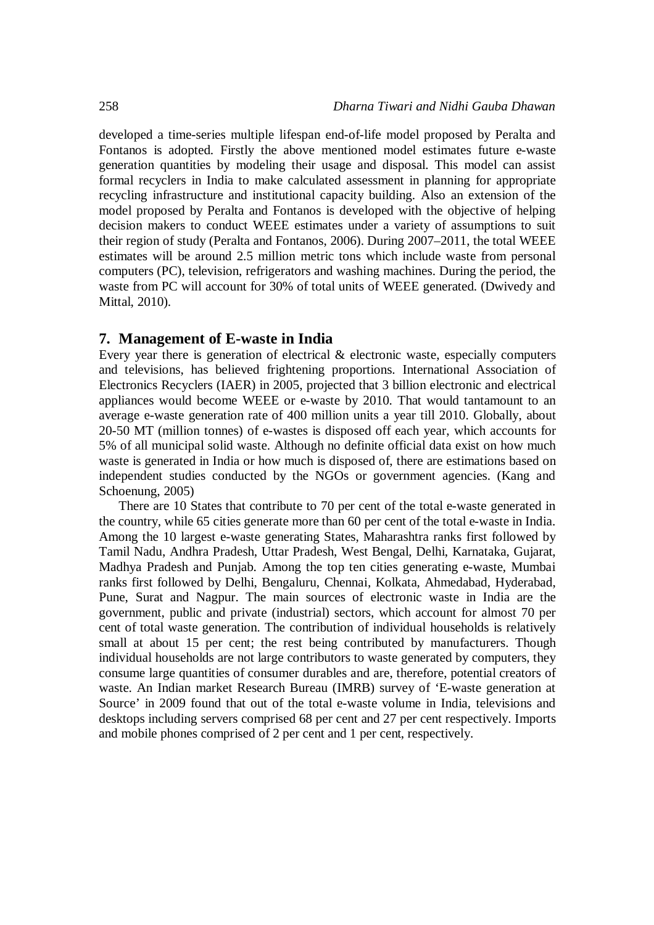developed a time-series multiple lifespan end-of-life model proposed by Peralta and Fontanos is adopted. Firstly the above mentioned model estimates future e-waste generation quantities by modeling their usage and disposal. This model can assist formal recyclers in India to make calculated assessment in planning for appropriate recycling infrastructure and institutional capacity building. Also an extension of the model proposed by Peralta and Fontanos is developed with the objective of helping decision makers to conduct WEEE estimates under a variety of assumptions to suit their region of study (Peralta and Fontanos, 2006). During 2007–2011, the total WEEE estimates will be around 2.5 million metric tons which include waste from personal computers (PC), television, refrigerators and washing machines. During the period, the waste from PC will account for 30% of total units of WEEE generated. (Dwivedy and Mittal, 2010).

#### **7. Management of E-waste in India**

Every year there is generation of electrical & electronic waste, especially computers and televisions, has believed frightening proportions. International Association of Electronics Recyclers (IAER) in 2005, projected that 3 billion electronic and electrical appliances would become WEEE or e-waste by 2010. That would tantamount to an average e-waste generation rate of 400 million units a year till 2010. Globally, about 20-50 MT (million tonnes) of e-wastes is disposed off each year, which accounts for 5% of all municipal solid waste. Although no definite official data exist on how much waste is generated in India or how much is disposed of, there are estimations based on independent studies conducted by the NGOs or government agencies. (Kang and Schoenung, 2005)

There are 10 States that contribute to 70 per cent of the total e-waste generated in the country, while 65 cities generate more than 60 per cent of the total e-waste in India. Among the 10 largest e-waste generating States, Maharashtra ranks first followed by Tamil Nadu, Andhra Pradesh, Uttar Pradesh, West Bengal, Delhi, Karnataka, Gujarat, Madhya Pradesh and Punjab. Among the top ten cities generating e-waste, Mumbai ranks first followed by Delhi, Bengaluru, Chennai, Kolkata, Ahmedabad, Hyderabad, Pune, Surat and Nagpur. The main sources of electronic waste in India are the government, public and private (industrial) sectors, which account for almost 70 per cent of total waste generation. The contribution of individual households is relatively small at about 15 per cent; the rest being contributed by manufacturers. Though individual households are not large contributors to waste generated by computers, they consume large quantities of consumer durables and are, therefore, potential creators of waste. An Indian market Research Bureau (IMRB) survey of 'E-waste generation at Source' in 2009 found that out of the total e-waste volume in India, televisions and desktops including servers comprised 68 per cent and 27 per cent respectively. Imports and mobile phones comprised of 2 per cent and 1 per cent, respectively.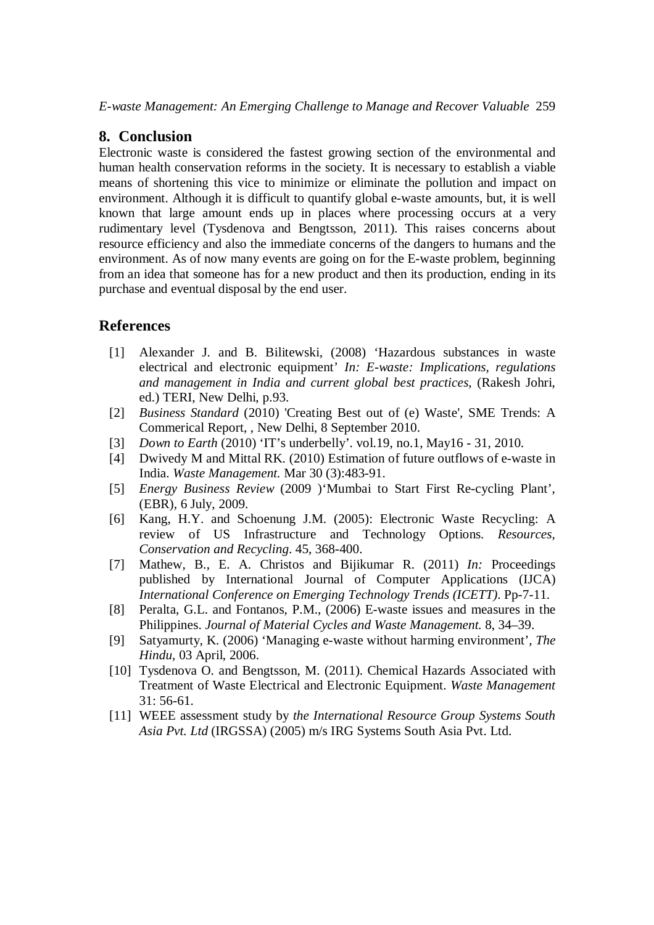### **8. Conclusion**

Electronic waste is considered the fastest growing section of the environmental and human health conservation reforms in the society. It is necessary to establish a viable means of shortening this vice to minimize or eliminate the pollution and impact on environment. Although it is difficult to quantify global e-waste amounts, but, it is well known that large amount ends up in places where processing occurs at a very rudimentary level (Tysdenova and Bengtsson, 2011). This raises concerns about resource efficiency and also the immediate concerns of the dangers to humans and the environment. As of now many events are going on for the E-waste problem, beginning from an idea that someone has for a new product and then its production, ending in its purchase and eventual disposal by the end user.

# **References**

- [1] Alexander J. and B. Bilitewski, (2008) 'Hazardous substances in waste electrical and electronic equipment' *In: E-waste: Implications, regulations and management in India and current global best practices*, (Rakesh Johri, ed.) TERI, New Delhi, p.93.
- [2] *Business Standard* (2010) 'Creating Best out of (e) Waste', SME Trends: A Commerical Report, , New Delhi, 8 September 2010.
- [3] *Down to Earth* (2010) 'IT's underbelly'. vol.19, no.1, May16 31, 2010.
- [4] Dwivedy M and Mittal RK. (2010) Estimation of future outflows of e-waste in India. *Waste Management.* Mar 30 (3):483-91.
- [5] *Energy Business Review* (2009 )'Mumbai to Start First Re-cycling Plant', (EBR), 6 July, 2009.
- [6] Kang, H.Y. and Schoenung J.M. (2005): Electronic Waste Recycling: A review of US Infrastructure and Technology Options. *Resources, Conservation and Recycling*. 45, 368-400.
- [7] Mathew, B., E. A. Christos and Bijikumar R. (2011) *In:* Proceedings published by International Journal of Computer Applications (IJCA) *International Conference on Emerging Technology Trends (ICETT)*. Pp-7-11.
- [8] Peralta, G.L. and Fontanos, P.M., (2006) E-waste issues and measures in the Philippines. *Journal of Material Cycles and Waste Management.* 8, 34–39.
- [9] Satyamurty, K. (2006) 'Managing e-waste without harming environment', *The Hindu*, 03 April, 2006.
- [10] Tysdenova O. and Bengtsson, M. (2011). Chemical Hazards Associated with Treatment of Waste Electrical and Electronic Equipment. *Waste Management* 31: 56-61.
- [11] WEEE assessment study by *the International Resource Group Systems South Asia Pvt. Ltd* (IRGSSA) (2005) m/s IRG Systems South Asia Pvt. Ltd.